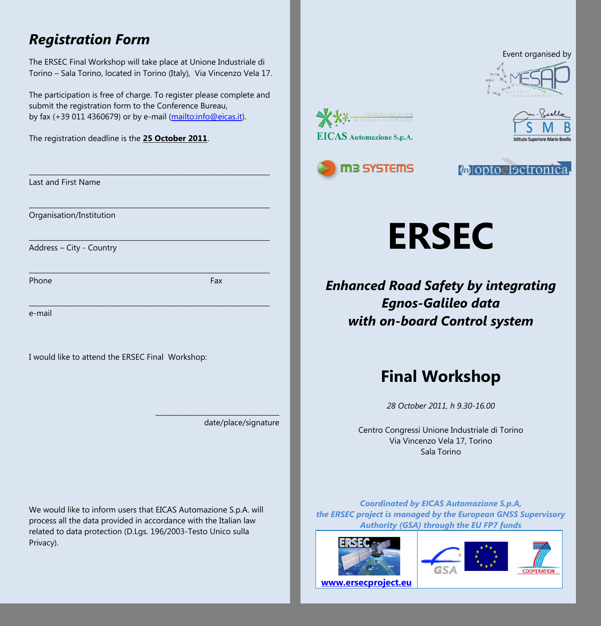### *Registration Form*

The ERSEC Final Workshop will take place at Unione Industriale di Torino – Sala Torino, located in Torino (Italy), Via Vincenzo Vela 17.

The participation is free of charge. To register please complete and submit the registration form to the Conference Bureau, by fax (+39 011 4360679) or by e-mail [\(mailto:info@eicas.it\).](mailto:info@eicas.it)

\_\_\_\_\_\_\_\_\_\_\_\_\_\_\_\_\_\_\_\_\_\_\_\_\_\_\_\_\_\_\_\_\_\_\_\_\_\_\_\_\_\_\_\_\_\_\_\_\_\_\_\_\_\_\_\_\_\_\_\_\_\_\_\_\_\_\_\_\_\_

\_\_\_\_\_\_\_\_\_\_\_\_\_\_\_\_\_\_\_\_\_\_\_\_\_\_\_\_\_\_\_\_\_\_\_\_\_\_\_\_\_\_\_\_\_\_\_\_\_\_\_\_\_\_\_\_\_\_\_\_\_\_\_\_\_\_\_\_\_\_

\_\_\_\_\_\_\_\_\_\_\_\_\_\_\_\_\_\_\_\_\_\_\_\_\_\_\_\_\_\_\_\_\_\_\_\_\_\_\_\_\_\_\_\_\_\_\_\_\_\_\_\_\_\_\_\_\_\_\_\_\_\_\_\_\_\_\_\_\_\_

\_\_\_\_\_\_\_\_\_\_\_\_\_\_\_\_\_\_\_\_\_\_\_\_\_\_\_\_\_\_\_\_\_\_\_\_\_\_\_\_\_\_\_\_\_\_\_\_\_\_\_\_\_\_\_\_\_\_\_\_\_\_\_\_\_\_\_\_\_\_

The registration deadline is the **25 October 2011**.

|  | Last and First Name |
|--|---------------------|
|--|---------------------|

Organisation/Institution

Address – City - Country

Phone Fax **Fax** 

\_\_\_\_\_\_\_\_\_\_\_\_\_\_\_\_\_\_\_\_\_\_\_\_\_\_\_\_\_\_\_\_\_\_\_\_\_\_\_\_\_\_\_\_\_\_\_\_\_\_\_\_\_\_\_\_\_\_\_\_\_\_\_\_\_\_\_\_\_\_

e-mail

I would like to attend the ERSEC Final Workshop:

date/place/signature

\_\_\_\_\_\_\_\_\_\_\_\_\_\_\_\_\_\_\_\_\_\_\_\_\_\_\_\_\_\_\_\_\_\_\_\_

We would like to inform users that EICAS Automazione S.p.A. will process all the data provided in accordance with the Italian law related to data protection (D.Lgs. 196/2003-Testo Unico sulla Privacy).











**ERSEC**

*Enhanced Road Safety by integrating Egnos-Galileo data with on-board Control system*

# **Final Workshop**

*28 October 2011, h 9.30-16.00*

Centro Congressi Unione Industriale di Torino Via Vincenzo Vela 17, Torino Sala Torino

*Coordinated by EICAS Automazione S.p.A, the ERSEC project is managed by the European GNSS Supervisory Authority (GSA) through the EU FP7 funds*







**[www.ersecproject.eu](www.ersecproject.eu%20)**